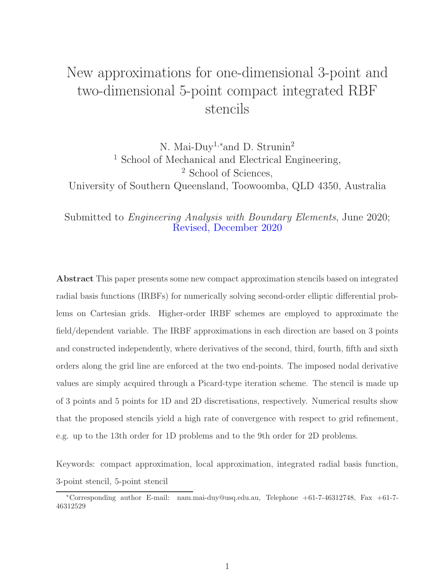# New approximations for one-dimensional 3-point and two-dimensional 5-point compact integrated RBF stencils

N. Mai-Duy<sup>1,∗</sup>and D. Strunin<sup>2</sup> <sup>1</sup> School of Mechanical and Electrical Engineering, <sup>2</sup> School of Sciences, University of Southern Queensland, Toowoomba, QLD 4350, Australia

Submitted to Engineering Analysis with Boundary Elements, June 2020; Revised, December 2020

Abstract This paper presents some new compact approximation stencils based on integrated radial basis functions (IRBFs) for numerically solving second-order elliptic differential problems on Cartesian grids. Higher-order IRBF schemes are employed to approximate the field/dependent variable. The IRBF approximations in each direction are based on 3 points and constructed independently, where derivatives of the second, third, fourth, fifth and sixth orders along the grid line are enforced at the two end-points. The imposed nodal derivative values are simply acquired through a Picard-type iteration scheme. The stencil is made up of 3 points and 5 points for 1D and 2D discretisations, respectively. Numerical results show that the proposed stencils yield a high rate of convergence with respect to grid refinement, e.g. up to the 13th order for 1D problems and to the 9th order for 2D problems.

Keywords: compact approximation, local approximation, integrated radial basis function, 3-point stencil, 5-point stencil

<sup>∗</sup>Corresponding author E-mail: nam.mai-duy@usq.edu.au, Telephone +61-7-46312748, Fax +61-7- 46312529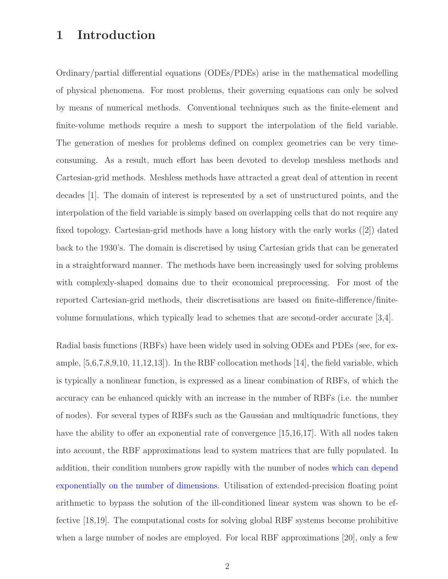## 1 Introduction

Ordinary/partial differential equations (ODEs/PDEs) arise in the mathematical modelling of physical phenomena. For most problems, their governing equations can only be solved by means of numerical methods. Conventional techniques such as the finite-element and finite-volume methods require a mesh to support the interpolation of the field variable. The generation of meshes for problems defined on complex geometries can be very timeconsuming. As a result, much effort has been devoted to develop meshless methods and Cartesian-grid methods. Meshless methods have attracted a great deal of attention in recent decades [1]. The domain of interest is represented by a set of unstructured points, and the interpolation of the field variable is simply based on overlapping cells that do not require any fixed topology. Cartesian-grid methods have a long history with the early works ([2]) dated back to the 1930's. The domain is discretised by using Cartesian grids that can be generated in a straightforward manner. The methods have been increasingly used for solving problems with complexly-shaped domains due to their economical preprocessing. For most of the reported Cartesian-grid methods, their discretisations are based on finite-difference/finitevolume formulations, which typically lead to schemes that are second-order accurate [3,4].

Radial basis functions (RBFs) have been widely used in solving ODEs and PDEs (see, for example,  $[5,6,7,8,9,10, 11,12,13]$ . In the RBF collocation methods  $[14]$ , the field variable, which is typically a nonlinear function, is expressed as a linear combination of RBFs, of which the accuracy can be enhanced quickly with an increase in the number of RBFs (i.e. the number of nodes). For several types of RBFs such as the Gaussian and multiquadric functions, they have the ability to offer an exponential rate of convergence [15,16,17]. With all nodes taken into account, the RBF approximations lead to system matrices that are fully populated. In addition, their condition numbers grow rapidly with the number of nodes which can depend exponentially on the number of dimensions. Utilisation of extended-precision floating point arithmetic to bypass the solution of the ill-conditioned linear system was shown to be effective [18,19]. The computational costs for solving global RBF systems become prohibitive when a large number of nodes are employed. For local RBF approximations [20], only a few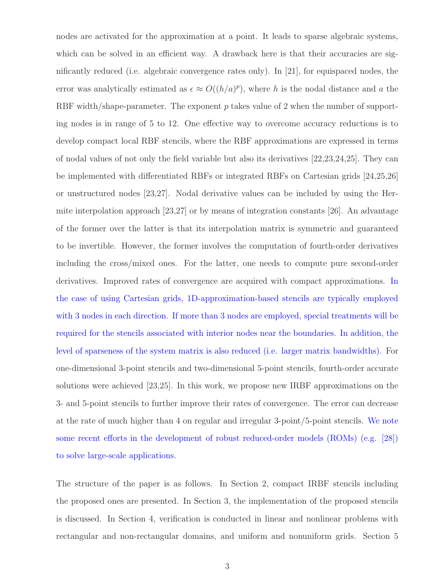nodes are activated for the approximation at a point. It leads to sparse algebraic systems, which can be solved in an efficient way. A drawback here is that their accuracies are significantly reduced (i.e. algebraic convergence rates only). In [21], for equispaced nodes, the error was analytically estimated as  $\epsilon \approx O((h/a)^p)$ , where h is the nodal distance and h the RBF width/shape-parameter. The exponent  $p$  takes value of 2 when the number of supporting nodes is in range of 5 to 12. One effective way to overcome accuracy reductions is to develop compact local RBF stencils, where the RBF approximations are expressed in terms of nodal values of not only the field variable but also its derivatives [22,23,24,25]. They can be implemented with differentiated RBFs or integrated RBFs on Cartesian grids [24,25,26] or unstructured nodes [23,27]. Nodal derivative values can be included by using the Hermite interpolation approach [23,27] or by means of integration constants [26]. An advantage of the former over the latter is that its interpolation matrix is symmetric and guaranteed to be invertible. However, the former involves the computation of fourth-order derivatives including the cross/mixed ones. For the latter, one needs to compute pure second-order derivatives. Improved rates of convergence are acquired with compact approximations. In the case of using Cartesian grids, 1D-approximation-based stencils are typically employed with 3 nodes in each direction. If more than 3 nodes are employed, special treatments will be required for the stencils associated with interior nodes near the boundaries. In addition, the level of sparseness of the system matrix is also reduced (i.e. larger matrix bandwidths). For one-dimensional 3-point stencils and two-dimensional 5-point stencils, fourth-order accurate solutions were achieved [23,25]. In this work, we propose new IRBF approximations on the 3- and 5-point stencils to further improve their rates of convergence. The error can decrease at the rate of much higher than 4 on regular and irregular 3-point/5-point stencils. We note some recent efforts in the development of robust reduced-order models (ROMs) (e.g. [28]) to solve large-scale applications.

The structure of the paper is as follows. In Section 2, compact IRBF stencils including the proposed ones are presented. In Section 3, the implementation of the proposed stencils is discussed. In Section 4, verification is conducted in linear and nonlinear problems with rectangular and non-rectangular domains, and uniform and nonuniform grids. Section 5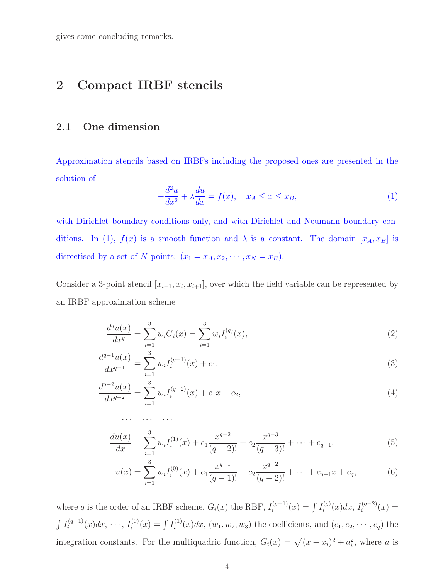gives some concluding remarks.

# 2 Compact IRBF stencils

· · · · · · · · ·

### 2.1 One dimension

Approximation stencils based on IRBFs including the proposed ones are presented in the solution of

$$
-\frac{d^2u}{dx^2} + \lambda \frac{du}{dx} = f(x), \quad x_A \le x \le x_B,
$$
\n(1)

with Dirichlet boundary conditions only, and with Dirichlet and Neumann boundary conditions. In (1),  $f(x)$  is a smooth function and  $\lambda$  is a constant. The domain  $[x_A, x_B]$  is disrectised by a set of N points:  $(x_1 = x_A, x_2, \dots, x_N = x_B)$ .

Consider a 3-point stencil  $[x_{i-1}, x_i, x_{i+1}]$ , over which the field variable can be represented by an IRBF approximation scheme

$$
\frac{d^q u(x)}{dx^q} = \sum_{i=1}^3 w_i G_i(x) = \sum_{i=1}^3 w_i I_i^{(q)}(x),\tag{2}
$$

$$
\frac{d^{q-1}u(x)}{dx^{q-1}} = \sum_{i=1}^{3} w_i I_i^{(q-1)}(x) + c_1,
$$
\n(3)

$$
\frac{d^{q-2}u(x)}{dx^{q-2}} = \sum_{i=1}^{3} w_i I_i^{(q-2)}(x) + c_1 x + c_2,
$$
\n(4)

$$
\frac{du(x)}{dx} = \sum_{i=1}^{3} w_i I_i^{(1)}(x) + c_1 \frac{x^{q-2}}{(q-2)!} + c_2 \frac{x^{q-3}}{(q-3)!} + \dots + c_{q-1},
$$
\n(5)

$$
u(x) = \sum_{i=1}^{3} w_i I_i^{(0)}(x) + c_1 \frac{x^{q-1}}{(q-1)!} + c_2 \frac{x^{q-2}}{(q-2)!} + \dots + c_{q-1} x + c_q,
$$
(6)

where q is the order of an IRBF scheme,  $G_i(x)$  the RBF,  $I_i^{(q-1)}$  $\int_{i}^{(q-1)} (x) = \int I_i^{(q)}$  $i^{(q)}(x)dx, I_i^{(q-2)}$  $i^{(q-2)}(x) =$  $\int I_i^{(q-1)}$  $i^{(q-1)}(x)dx, \cdots, I_i^{(0)}$  $I_i^{(0)}(x) = \int I_i^{(1)}$  $i^{(1)}(x)dx, (w_1, w_2, w_3)$  the coefficients, and  $(c_1, c_2, \dots, c_q)$  the integration constants. For the multiquadric function,  $G_i(x) = \sqrt{(x - x_i)^2 + a_i^2}$ , where a is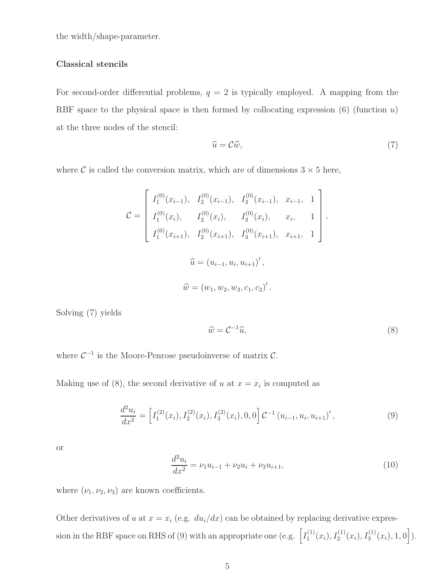the width/shape-parameter.

#### Classical stencils

For second-order differential problems,  $q = 2$  is typically employed. A mapping from the RBF space to the physical space is then formed by collocating expression  $(6)$  (function u) at the three nodes of the stencil:

$$
\widehat{u} = \mathcal{C}\widehat{w},\tag{7}
$$

where  $\mathcal C$  is called the conversion matrix, which are of dimensions  $3 \times 5$  here,

$$
\mathcal{C} = \begin{bmatrix} I_1^{(0)}(x_{i-1}), & I_2^{(0)}(x_{i-1}), & I_3^{(0)}(x_{i-1}), & x_{i-1}, & 1 \\ I_1^{(0)}(x_i), & I_2^{(0)}(x_i), & I_3^{(0)}(x_i), & x_i, & 1 \\ I_1^{(0)}(x_{i+1}), & I_2^{(0)}(x_{i+1}), & I_3^{(0)}(x_{i+1}), & x_{i+1}, & 1 \end{bmatrix},
$$
\n
$$
\widehat{u} = (u_{i-1}, u_i, u_{i+1})',
$$
\n
$$
\widehat{w} = (w_1, w_2, w_3, c_1, c_2)'
$$

Solving (7) yields

$$
\widehat{w} = \mathcal{C}^{-1}\widehat{u},\tag{8}
$$

where  $C^{-1}$  is the Moore-Penrose pseudoinverse of matrix  $C$ .

Making use of (8), the second derivative of u at  $x = x_i$  is computed as

$$
\frac{d^2u_i}{dx^2} = \left[I_1^{(2)}(x_i), I_2^{(2)}(x_i), I_3^{(2)}(x_i), 0, 0\right] \mathcal{C}^{-1}\left(u_{i-1}, u_i, u_{i+1}\right)',\tag{9}
$$

or

$$
\frac{d^2u_i}{dx^2} = \nu_1 u_{i-1} + \nu_2 u_i + \nu_3 u_{i+1},\tag{10}
$$

where  $(\nu_1, \nu_2, \nu_3)$  are known coefficients.

Other derivatives of u at  $x = x_i$  (e.g.  $du_i/dx$ ) can be obtained by replacing derivative expression in the RBF space on RHS of (9) with an appropriate one (e.g.  $\left[ I_1^{(1)} \right]$  $I_1^{(1)}(x_i), I_2^{(1)}(x_i), I_3^{(1)}(x_i), 1, 0].$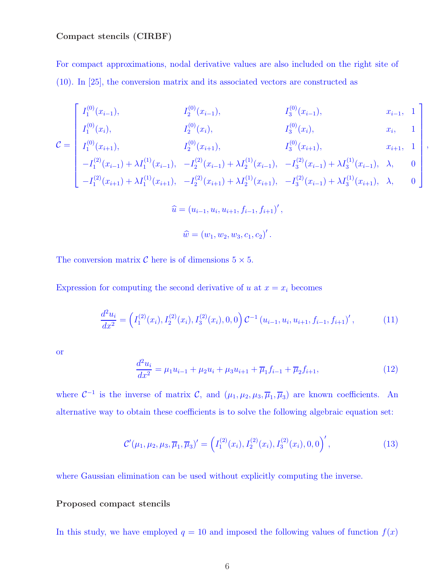### Compact stencils (CIRBF)

For compact approximations, nodal derivative values are also included on the right site of (10). In [25], the conversion matrix and its associated vectors are constructed as

$$
\begin{bmatrix} I_1^{(0)}(x_{i-1}), & I_2^{(0)}(x_{i-1}), & I_3^{(0)}(x_{i-1}), & x_{i-1}, 1 \end{bmatrix}
$$

$$
I_1^{(0)}(x_i), \t I_2^{(0)}(x_i), \t I_3^{(0)}(x_i), \t x_i, 1
$$
\n
$$
I_3^{(0)}(x_i), \t x_i, 1
$$
\n
$$
I_5^{(0)}(x_{i+1}) \t I_5^{(0)}(x_{i+1}) \t T_6^{(0)}(x_{i+1}) \t T_7^{(0)}(x_{i+1}) \t T_8^{(0)}(x_{i+1}) \t T_9^{(0)}(x_{i+1}) \t T_9^{(0)}(x_{i+1}) \t T_1^{(0)}(x_{i+1}) \t T_2^{(0)}(x_{i+1}) \t T_3^{(0)}(x_{i+1}) \t T_4^{(0)}(x_{i+1}) \t T_5^{(0)}(x_{i+1}) \t T_6^{(0)}(x_{i+1}) \t T_7^{(0)}(x_{i+1}) \t T_8^{(0)}(x_{i+1}) \t T_9^{(0)}(x_{i+1}) \t T_9^{(0)}(x_{i+1}) \t T_9^{(0)}(x_{i+1}) \t T_9^{(0)}(x_{i+1}) \t T_9^{(0)}(x_{i+1}) \t T_9^{(0)}(x_{i+1}) \t T_9^{(0)}(x_{i+1}) \t T_9^{(0)}(x_{i+1}) \t T_9^{(0)}(x_{i+1}) \t T_9^{(0)}(x_{i+1}) \t T_9^{(0)}(x_{i+1}) \t T_9^{(0)}(x_{i+1}) \t T_9^{(0)}(x_{i+1}) \t T_9^{(0)}(x_{i+1}) \t T_9^{(0)}(x_{i+1}) \t T_9^{(0)}(x_{i+1}) \t T_9^{(0)}(x_{i+1}) \t T_9^{(0)}(x_{i+1}) \t T_9^{(0)}(x_{i+1}) \t T_9^{(0)}(x_{i+1}) \t T_9^{(0)}(x_{i+1}) \t T_9^{(0)}(x_{i+1}) \t T_9^{(0)}(x_{i+1}) \t T_9^{(0)}(x_{i+1}) \t T_9^{(0)}(x_{i+1}) \t T_9^{(0)}(x_{i+1}) \t T_9^{(0)}(x_{i+1}) \t T_9^{(
$$

,

$$
\mathcal{C} = \begin{bmatrix} I_1^{(0)}(x_{i+1}), & I_2^{(0)}(x_{i+1}), & I_3^{(0)}(x_{i+1}), & x_{i+1}, 1 \ -I_1^{(2)}(x_{i-1}) + \lambda I_1^{(1)}(x_{i-1}), & -I_2^{(2)}(x_{i-1}) + \lambda I_2^{(1)}(x_{i-1}), & -I_3^{(2)}(x_{i-1}) + \lambda I_3^{(1)}(x_{i-1}), & \lambda, 0 \ -I_1^{(2)}(x_{i+1}) + \lambda I_1^{(1)}(x_{i+1}), & -I_2^{(2)}(x_{i+1}) + \lambda I_2^{(1)}(x_{i+1}), & -I_3^{(2)}(x_{i-1}) + \lambda I_3^{(1)}(x_{i+1}), & \lambda, 0 \end{bmatrix}
$$

$$
\hat{u} = (u_{i-1}, u_i, u_{i+1}, f_{i-1}, f_{i+1})',
$$
  

$$
\hat{w} = (w_1, w_2, w_3, c_1, c_2)'
$$
.

The conversion matrix  $C$  here is of dimensions  $5 \times 5$ .

Expression for computing the second derivative of u at  $x = x_i$  becomes

$$
\frac{d^2u_i}{dx^2} = \left(I_1^{(2)}(x_i), I_2^{(2)}(x_i), I_3^{(2)}(x_i), 0, 0\right) \mathcal{C}^{-1}\left(u_{i-1}, u_i, u_{i+1}, f_{i-1}, f_{i+1}\right)',\tag{11}
$$

or

$$
\frac{d^2u_i}{dx^2} = \mu_1 u_{i-1} + \mu_2 u_i + \mu_3 u_{i+1} + \overline{\mu}_1 f_{i-1} + \overline{\mu}_2 f_{i+1},\tag{12}
$$

where  $C^{-1}$  is the inverse of matrix C, and  $(\mu_1, \mu_2, \mu_3, \overline{\mu}_1, \overline{\mu}_3)$  are known coefficients. An alternative way to obtain these coefficients is to solve the following algebraic equation set:

$$
\mathcal{C}'(\mu_1, \mu_2, \mu_3, \overline{\mu}_1, \overline{\mu}_3)' = \left(I_1^{(2)}(x_i), I_2^{(2)}(x_i), I_3^{(2)}(x_i), 0, 0\right)',\tag{13}
$$

where Gaussian elimination can be used without explicitly computing the inverse.

### Proposed compact stencils

In this study, we have employed  $q = 10$  and imposed the following values of function  $f(x)$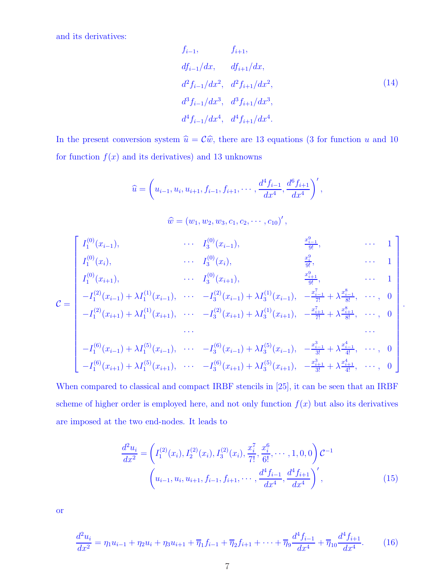and its derivatives:

$$
f_{i-1}, \t f_{i+1},
$$
  
\n
$$
df_{i-1}/dx, \t df_{i+1}/dx,
$$
  
\n
$$
d^2 f_{i-1}/dx^2, \t d^2 f_{i+1}/dx^2,
$$
  
\n
$$
d^3 f_{i-1}/dx^3, \t d^3 f_{i+1}/dx^3,
$$
  
\n
$$
d^4 f_{i-1}/dx^4, \t d^4 f_{i+1}/dx^4.
$$
\n(14)

In the present conversion system  $\hat{u} = C\hat{w}$ , there are 13 equations (3 for function u and 10 for function  $f(x)$  and its derivatives) and 13 unknowns

$$
\widehat{u} = \left(u_{i-1}, u_i, u_{i+1}, f_{i-1}, f_{i+1}, \cdots, \frac{d^4 f_{i-1}}{dx^4}, \frac{d^6 f_{i+1}}{dx^4}\right)',
$$

 $\widehat{w} = (w_1, w_2, w_3, c_1, c_2, \cdots, c_{10})',$ 

$$
\mathcal{C} = \begin{bmatrix}\nI_1^{(0)}(x_{i-1}), & \cdots & I_3^{(0)}(x_{i-1}), & \frac{x_{i-1}^9}{9!}, & \cdots & 1 \\
I_1^{(0)}(x_i), & \cdots & I_3^{(0)}(x_i), & \frac{x_i^9}{9!}, & \cdots & 1 \\
I_1^{(0)}(x_{i+1}), & \cdots & I_3^{(0)}(x_{i+1}), & \frac{x_{i+1}^9}{9!}, & \cdots & 1 \\
-I_1^{(2)}(x_{i-1}) + \lambda I_1^{(1)}(x_{i-1}), & \cdots & -I_3^{(2)}(x_{i-1}) + \lambda I_3^{(1)}(x_{i-1}), & -\frac{x_{i-1}^7}{7!} + \lambda \frac{x_{i-1}^8}{8!}, & \cdots, & 0 \\
-I_1^{(2)}(x_{i+1}) + \lambda I_1^{(1)}(x_{i+1}), & \cdots & -I_3^{(2)}(x_{i+1}) + \lambda I_3^{(1)}(x_{i+1}), & -\frac{x_{i+1}^7}{7!} + \lambda \frac{x_{i+1}^8}{8!}, & \cdots, & 0 \\
\vdots & \vdots & \vdots & \vdots & \vdots \\
-I_1^{(6)}(x_{i-1}) + \lambda I_1^{(5)}(x_{i-1}), & \cdots & -I_3^{(6)}(x_{i-1}) + \lambda I_3^{(5)}(x_{i-1}), & -\frac{x_{i-1}^3}{3!} + \lambda \frac{x_{i-1}^4}{4!}, & \cdots, & 0 \\
-I_1^{(6)}(x_{i+1}) + \lambda I_1^{(5)}(x_{i+1}), & \cdots & -I_3^{(6)}(x_{i+1}) + \lambda I_3^{(5)}(x_{i+1}), & -\frac{x_{i+1}^3}{3!} + \lambda \frac{x_{i+1}^4}{4!}, & \cdots, & 0\n\end{bmatrix}
$$

When compared to classical and compact IRBF stencils in [25], it can be seen that an IRBF scheme of higher order is employed here, and not only function  $f(x)$  but also its derivatives are imposed at the two end-nodes. It leads to

$$
\frac{d^2u_i}{dx^2} = \left(I_1^{(2)}(x_i), I_2^{(2)}(x_i), I_3^{(2)}(x_i), \frac{x_i^7}{7!}, \frac{x_i^6}{6!}, \cdots, 1, 0, 0\right)\mathcal{C}^{-1}
$$
\n
$$
\left(u_{i-1}, u_i, u_{i+1}, f_{i-1}, f_{i+1}, \cdots, \frac{d^4f_{i-1}}{dx^4}, \frac{d^4f_{i+1}}{dx^4}\right)',\tag{15}
$$

or

$$
\frac{d^2u_i}{dx^2} = \eta_1 u_{i-1} + \eta_2 u_i + \eta_3 u_{i+1} + \overline{\eta}_1 f_{i-1} + \overline{\eta}_2 f_{i+1} + \dots + \overline{\eta}_9 \frac{d^4 f_{i-1}}{dx^4} + \overline{\eta}_{10} \frac{d^4 f_{i+1}}{dx^4}.
$$
 (16)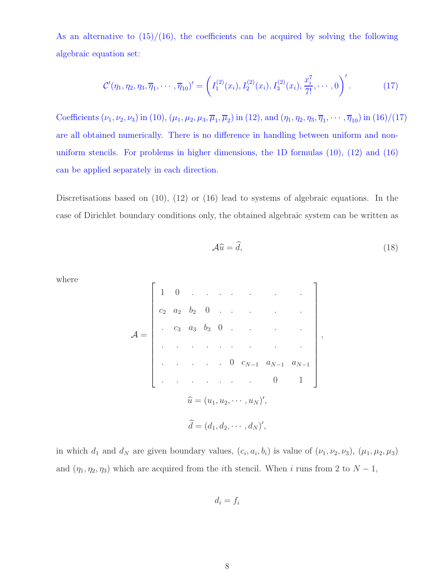As an alternative to  $(15)/(16)$ , the coefficients can be acquired by solving the following algebraic equation set:

$$
\mathcal{C}'(\eta_1, \eta_2, \eta_3, \overline{\eta}_1, \cdots, \overline{\eta}_{10})' = \left(I_1^{(2)}(x_i), I_2^{(2)}(x_i), I_3^{(2)}(x_i), \frac{x_i^7}{7!}, \cdots, 0\right)'.
$$
 (17)

Coefficients  $(\nu_1, \nu_2, \nu_3)$  in (10),  $(\mu_1, \mu_2, \mu_3, \overline{\mu}_1, \overline{\mu}_2)$  in (12), and  $(\eta_1, \eta_2, \eta_3, \overline{\eta}_1, \cdots, \overline{\eta}_{10})$  in (16)/(17) are all obtained numerically. There is no difference in handling between uniform and nonuniform stencils. For problems in higher dimensions, the 1D formulas (10), (12) and (16) can be applied separately in each direction.

Discretisations based on (10), (12) or (16) lead to systems of algebraic equations. In the case of Dirichlet boundary conditions only, the obtained algebraic system can be written as

$$
\mathcal{A}\widehat{u} = \widehat{d},\tag{18}
$$

where

$$
\mathcal{A} = \begin{bmatrix}\n1 & 0 & \cdots & \cdots & \cdots & \cdots \\
c_2 & a_2 & b_2 & 0 & \cdots & \cdots & \cdots \\
\vdots & c_3 & a_3 & b_3 & 0 & \cdots & \cdots & \cdots \\
\vdots & \vdots & \vdots & \ddots & \vdots & \ddots & \vdots \\
\vdots & \vdots & \vdots & \ddots & \vdots & \vdots \\
\vdots & \vdots & \vdots & \ddots & \vdots & \vdots \\
\vdots & \vdots & \vdots & \ddots & \vdots & \vdots \\
\vdots & \vdots & \vdots & \vdots & \vdots \\
\vdots & \vdots & \vdots & \vdots & \vdots \\
\vdots & \vdots & \vdots & \vdots & \vdots \\
\vdots & \vdots & \vdots & \vdots & \vdots \\
\vdots & \vdots & \vdots & \vdots & \vdots \\
\vdots & \vdots & \vdots & \vdots & \vdots \\
\vdots & \vdots & \vdots & \vdots & \vdots \\
\vdots & \vdots & \vdots & \vdots & \vdots \\
\vdots & \vdots & \vdots & \vdots & \vdots \\
\vdots & \vdots & \vdots & \vdots & \vdots \\
\vdots & \vdots & \vdots & \vdots & \vdots \\
\vdots & \vdots & \vdots & \vdots & \vdots \\
\vdots & \vdots & \vdots & \vdots & \vdots \\
\vdots & \vdots & \vdots & \vdots & \vdots \\
\vdots & \vdots & \vdots & \vdots & \vdots \\
\vdots & \vdots & \vdots & \vdots & \vdots \\
\vdots & \vdots & \vdots & \vdots & \vdots \\
\vdots & \vdots & \vdots & \vdots & \vdots \\
\vdots & \vdots & \vdots & \vdots & \vdots \\
\vdots & \vdots & \vdots & \vdots & \vdots \\
\vdots & \vdots & \vdots & \vdots & \vdots \\
\vdots & \vdots & \vdots & \vdots & \vdots \\
\vdots & \vdots & \vdots & \vdots & \vdots \\
\vdots & \vdots & \vdots & \vdots & \vdots \\
\vdots & \vdots & \vdots & \vdots & \vdots \\
\vdots & \vdots & \vdots & \vdots & \vdots \\
\vdots & \vdots & \vdots & \vdots & \vdots \\
\vdots & \vdots & \vdots & \vdots & \vdots \\
\vdots & \vdots
$$

in which  $d_1$  and  $d_N$  are given boundary values,  $(c_i, a_i, b_i)$  is value of  $(\nu_1, \nu_2, \nu_3)$ ,  $(\mu_1, \mu_2, \mu_3)$ and  $(\eta_1, \eta_2, \eta_3)$  which are acquired from the *i*th stencil. When *i* runs from 2 to  $N - 1$ ,

$$
d_i = f_i
$$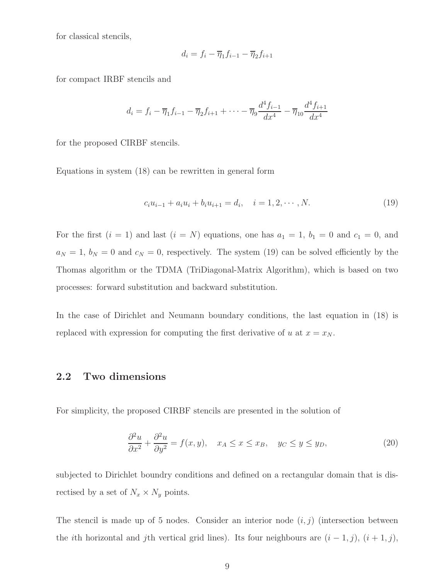for classical stencils,

$$
d_i = f_i - \overline{\eta}_1 f_{i-1} - \overline{\eta}_2 f_{i+1}
$$

for compact IRBF stencils and

$$
d_i = f_i - \overline{\eta}_1 f_{i-1} - \overline{\eta}_2 f_{i+1} + \dots - \overline{\eta}_9 \frac{d^4 f_{i-1}}{dx^4} - \overline{\eta}_{10} \frac{d^4 f_{i+1}}{dx^4}
$$

for the proposed CIRBF stencils.

Equations in system (18) can be rewritten in general form

$$
c_i u_{i-1} + a_i u_i + b_i u_{i+1} = d_i, \quad i = 1, 2, \cdots, N.
$$
\n(19)

For the first  $(i = 1)$  and last  $(i = N)$  equations, one has  $a_1 = 1$ ,  $b_1 = 0$  and  $c_1 = 0$ , and  $a_N = 1, b_N = 0$  and  $c_N = 0$ , respectively. The system (19) can be solved efficiently by the Thomas algorithm or the TDMA (TriDiagonal-Matrix Algorithm), which is based on two processes: forward substitution and backward substitution.

In the case of Dirichlet and Neumann boundary conditions, the last equation in (18) is replaced with expression for computing the first derivative of u at  $x = x_N$ .

### 2.2 Two dimensions

For simplicity, the proposed CIRBF stencils are presented in the solution of

$$
\frac{\partial^2 u}{\partial x^2} + \frac{\partial^2 u}{\partial y^2} = f(x, y), \quad x_A \le x \le x_B, \quad y_C \le y \le y_D,
$$
\n(20)

subjected to Dirichlet boundry conditions and defined on a rectangular domain that is disrectised by a set of  $N_x \times N_y$  points.

The stencil is made up of 5 nodes. Consider an interior node  $(i, j)$  (intersection between the *i*th horizontal and *j*th vertical grid lines). Its four neighbours are  $(i - 1, j)$ ,  $(i + 1, j)$ ,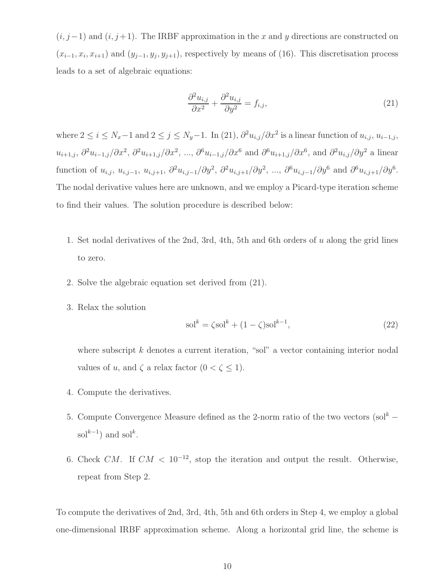$(i, j-1)$  and  $(i, j+1)$ . The IRBF approximation in the x and y directions are constructed on  $(x_{i-1}, x_i, x_{i+1})$  and  $(y_{j-1}, y_j, y_{j+1})$ , respectively by means of (16). This discretisation process leads to a set of algebraic equations:

$$
\frac{\partial^2 u_{i,j}}{\partial x^2} + \frac{\partial^2 u_{i,j}}{\partial y^2} = f_{i,j},\tag{21}
$$

where  $2 \le i \le N_x-1$  and  $2 \le j \le N_y-1$ . In (21),  $\partial^2 u_{i,j}/\partial x^2$  is a linear function of  $u_{i,j}$ ,  $u_{i-1,j}$ ,  $u_{i+1,j}, \partial^2 u_{i-1,j}/\partial x^2, \partial^2 u_{i+1,j}/\partial x^2, \dots, \partial^6 u_{i-1,j}/\partial x^6$  and  $\partial^6 u_{i+1,j}/\partial x^6$ , and  $\partial^2 u_{i,j}/\partial y^2$  a linear function of  $u_{i,j}$ ,  $u_{i,j-1}$ ,  $u_{i,j+1}$ ,  $\partial^2 u_{i,j-1}/\partial y^2$ ,  $\partial^2 u_{i,j+1}/\partial y^2$ , ...,  $\partial^6 u_{i,j-1}/\partial y^6$  and  $\partial^6 u_{i,j+1}/\partial y^6$ . The nodal derivative values here are unknown, and we employ a Picard-type iteration scheme to find their values. The solution procedure is described below:

- 1. Set nodal derivatives of the 2nd, 3rd, 4th, 5th and 6th orders of u along the grid lines to zero.
- 2. Solve the algebraic equation set derived from (21).
- 3. Relax the solution

$$
sol^{k} = \zeta sol^{k} + (1 - \zeta) sol^{k-1},
$$
\n(22)

where subscript  $k$  denotes a current iteration, "sol" a vector containing interior nodal values of u, and  $\zeta$  a relax factor  $(0 < \zeta \le 1)$ .

- 4. Compute the derivatives.
- 5. Compute Convergence Measure defined as the 2-norm ratio of the two vectors  $(\text{sol}^k$ sol $^{k-1}$ ) and sol<sup>k</sup>.
- 6. Check CM. If  $CM < 10^{-12}$ , stop the iteration and output the result. Otherwise, repeat from Step 2.

To compute the derivatives of 2nd, 3rd, 4th, 5th and 6th orders in Step 4, we employ a global one-dimensional IRBF approximation scheme. Along a horizontal grid line, the scheme is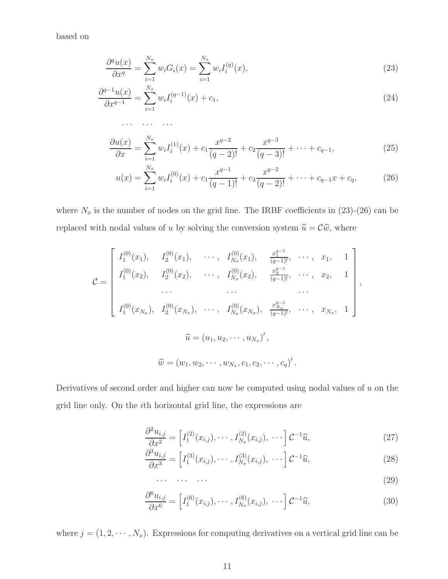based on

$$
\frac{\partial^q u(x)}{\partial x^q} = \sum_{i=1}^{N_x} w_i G_i(x) = \sum_{i=1}^{N_x} w_i I_i^{(q)}(x),\tag{23}
$$

$$
\frac{\partial^{q-1}u(x)}{\partial x^{q-1}} = \sum_{i=1}^{N_x} w_i I_i^{(q-1)}(x) + c_1,\tag{24}
$$

$$
\frac{\partial u(x)}{\partial x} = \sum_{i=1}^{N_x} w_i I_i^{(1)}(x) + c_1 \frac{x^{q-2}}{(q-2)!} + c_2 \frac{x^{q-3}}{(q-3)!} + \dots + c_{q-1},
$$
\n(25)

$$
u(x) = \sum_{i=1}^{N_x} w_i I_i^{(0)}(x) + c_1 \frac{x^{q-1}}{(q-1)!} + c_2 \frac{x^{q-2}}{(q-2)!} + \dots + c_{q-1} x + c_q, \tag{26}
$$

where  $N_x$  is the number of nodes on the grid line. The IRBF coefficients in (23)-(26) can be replaced with nodal values of u by solving the conversion system  $\hat{u} = \mathcal{C}\hat{w}$ , where

$$
\mathcal{C} = \begin{bmatrix} I_1^{(0)}(x_1), & I_2^{(0)}(x_1), & \cdots, & I_{N_x}^{(0)}(x_1), & \frac{x_1^{q-1}}{(q-1)!}, & \cdots, & x_1, & 1 \\ I_1^{(0)}(x_2), & I_2^{(0)}(x_2), & \cdots, & I_{N_x}^{(0)}(x_2), & \frac{x_2^{q-1}}{(q-1)!}, & \cdots, & x_2, & 1 \\ & \cdots & \cdots & \cdots & \cdots & \cdots \\ I_1^{(0)}(x_{N_x}), & I_2^{(0)}(x_{N_x}), & \cdots, & I_{N_x}^{(0)}(x_{N_x}), & \frac{x_{N_x}^{q-1}}{(q-1)!}, & \cdots, & x_{N_x}, & 1 \end{bmatrix},
$$
\n
$$
\widehat{u} = (u_1, u_2, \cdots, u_{N_x}, c_1, c_2, \cdots, c_q)'
$$

Derivatives of second order and higher can now be computed using nodal values of  $u$  on the grid line only. On the ith horizontal grid line, the expressions are

$$
\frac{\partial^2 u_{i,j}}{\partial x^2} = \left[ I_1^{(2)}(x_{i,j}), \cdots, I_{N_x}^{(2)}(x_{i,j}), \cdots \right] \mathcal{C}^{-1} \widehat{u},\tag{27}
$$

$$
\frac{\partial^3 u_{i,j}}{\partial x^3} = \left[ I_1^{(3)}(x_{i,j}), \cdots, I_{N_x}^{(3)}(x_{i,j}), \cdots \right] \mathcal{C}^{-1}\widehat{u},\tag{28}
$$

$$
\cdots \quad \cdots \quad \cdots \tag{29}
$$

$$
\frac{\partial^6 u_{i,j}}{\partial x^6} = \left[ I_1^{(6)}(x_{i,j}), \cdots, I_{N_x}^{(6)}(x_{i,j}), \cdots \right] \mathcal{C}^{-1} \widehat{u},\tag{30}
$$

where  $j = (1, 2, \dots, N_x)$ . Expressions for computing derivatives on a vertical grid line can be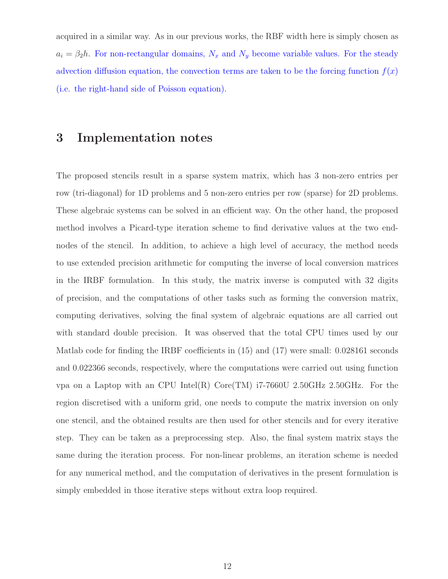acquired in a similar way. As in our previous works, the RBF width here is simply chosen as  $a_i = \beta_2 h$ . For non-rectangular domains,  $N_x$  and  $N_y$  become variable values. For the steady advection diffusion equation, the convection terms are taken to be the forcing function  $f(x)$ (i.e. the right-hand side of Poisson equation).

### 3 Implementation notes

The proposed stencils result in a sparse system matrix, which has 3 non-zero entries per row (tri-diagonal) for 1D problems and 5 non-zero entries per row (sparse) for 2D problems. These algebraic systems can be solved in an efficient way. On the other hand, the proposed method involves a Picard-type iteration scheme to find derivative values at the two endnodes of the stencil. In addition, to achieve a high level of accuracy, the method needs to use extended precision arithmetic for computing the inverse of local conversion matrices in the IRBF formulation. In this study, the matrix inverse is computed with 32 digits of precision, and the computations of other tasks such as forming the conversion matrix, computing derivatives, solving the final system of algebraic equations are all carried out with standard double precision. It was observed that the total CPU times used by our Matlab code for finding the IRBF coefficients in (15) and (17) were small: 0.028161 seconds and 0.022366 seconds, respectively, where the computations were carried out using function vpa on a Laptop with an CPU Intel(R)  $Core(TM)$  i7-7660U 2.50GHz 2.50GHz. For the region discretised with a uniform grid, one needs to compute the matrix inversion on only one stencil, and the obtained results are then used for other stencils and for every iterative step. They can be taken as a preprocessing step. Also, the final system matrix stays the same during the iteration process. For non-linear problems, an iteration scheme is needed for any numerical method, and the computation of derivatives in the present formulation is simply embedded in those iterative steps without extra loop required.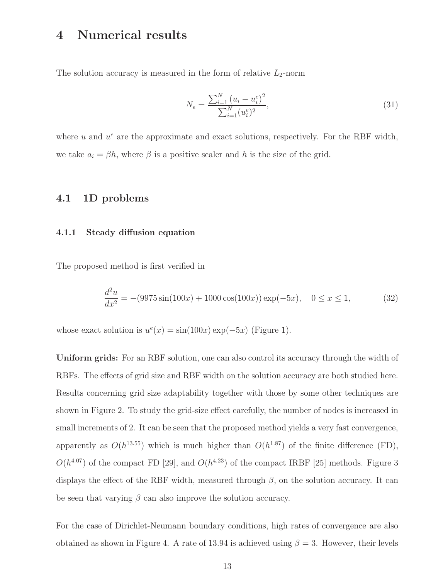# 4 Numerical results

The solution accuracy is measured in the form of relative  $L_2$ -norm

$$
N_e = \frac{\sum_{i=1}^{N} (u_i - u_i^e)^2}{\sum_{i=1}^{N} (u_i^e)^2},
$$
\n(31)

where  $u$  and  $u^e$  are the approximate and exact solutions, respectively. For the RBF width, we take  $a_i = \beta h$ , where  $\beta$  is a positive scaler and h is the size of the grid.

### 4.1 1D problems

#### 4.1.1 Steady diffusion equation

The proposed method is first verified in

$$
\frac{d^2u}{dx^2} = -(9975\sin(100x) + 1000\cos(100x))\exp(-5x), \quad 0 \le x \le 1,
$$
 (32)

whose exact solution is  $u^e(x) = \sin(100x) \exp(-5x)$  (Figure 1).

Uniform grids: For an RBF solution, one can also control its accuracy through the width of RBFs. The effects of grid size and RBF width on the solution accuracy are both studied here. Results concerning grid size adaptability together with those by some other techniques are shown in Figure 2. To study the grid-size effect carefully, the number of nodes is increased in small increments of 2. It can be seen that the proposed method yields a very fast convergence, apparently as  $O(h^{13.55})$  which is much higher than  $O(h^{1.87})$  of the finite difference (FD),  $O(h^{4.07})$  of the compact FD [29], and  $O(h^{4.23})$  of the compact IRBF [25] methods. Figure 3 displays the effect of the RBF width, measured through  $\beta$ , on the solution accuracy. It can be seen that varying  $\beta$  can also improve the solution accuracy.

For the case of Dirichlet-Neumann boundary conditions, high rates of convergence are also obtained as shown in Figure 4. A rate of 13.94 is achieved using  $\beta = 3$ . However, their levels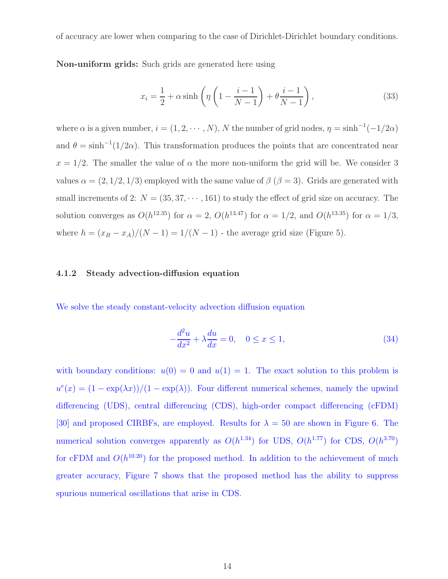of accuracy are lower when comparing to the case of Dirichlet-Dirichlet boundary conditions.

Non-uniform grids: Such grids are generated here using

$$
x_i = \frac{1}{2} + \alpha \sinh\left(\eta \left(1 - \frac{i-1}{N-1}\right) + \theta \frac{i-1}{N-1}\right),\tag{33}
$$

where  $\alpha$  is a given number,  $i = (1, 2, \dots, N)$ , N the number of grid nodes,  $\eta = \sinh^{-1}(-1/2\alpha)$ and  $\theta = \sinh^{-1}(1/2\alpha)$ . This transformation produces the points that are concentrated near  $x = 1/2$ . The smaller the value of  $\alpha$  the more non-uniform the grid will be. We consider 3 values  $\alpha = (2, 1/2, 1/3)$  employed with the same value of  $\beta$  ( $\beta = 3$ ). Grids are generated with small increments of 2:  $N = (35, 37, \dots, 161)$  to study the effect of grid size on accuracy. The solution converges as  $O(h^{12.35})$  for  $\alpha = 2$ ,  $O(h^{13.47})$  for  $\alpha = 1/2$ , and  $O(h^{13.35})$  for  $\alpha = 1/3$ , where  $h = (x_B - x_A)/(N - 1) = 1/(N - 1)$  - the average grid size (Figure 5).

#### 4.1.2 Steady advection-diffusion equation

We solve the steady constant-velocity advection diffusion equation

$$
-\frac{d^2u}{dx^2} + \lambda \frac{du}{dx} = 0, \quad 0 \le x \le 1,
$$
\n(34)

with boundary conditions:  $u(0) = 0$  and  $u(1) = 1$ . The exact solution to this problem is  $u^e(x) = (1 - \exp(\lambda x))/(1 - \exp(\lambda))$ . Four different numerical schemes, namely the upwind differencing (UDS), central differencing (CDS), high-order compact differencing (cFDM) [30] and proposed CIRBFs, are employed. Results for  $\lambda = 50$  are shown in Figure 6. The numerical solution converges apparently as  $O(h^{1.34})$  for UDS,  $O(h^{1.77})$  for CDS,  $O(h^{3.70})$ for cFDM and  $O(h^{10.20})$  for the proposed method. In addition to the achievement of much greater accuracy, Figure 7 shows that the proposed method has the ability to suppress spurious numerical oscillations that arise in CDS.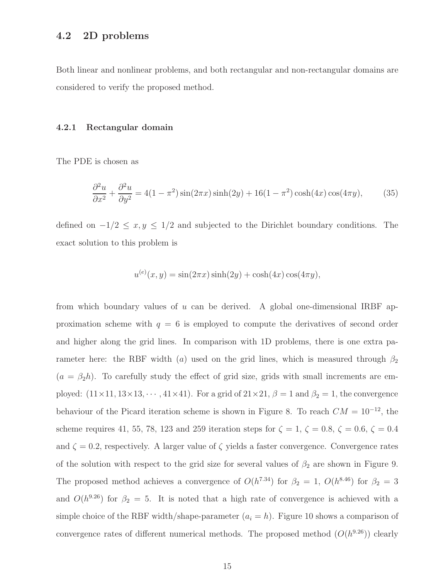### 4.2 2D problems

Both linear and nonlinear problems, and both rectangular and non-rectangular domains are considered to verify the proposed method.

#### 4.2.1 Rectangular domain

The PDE is chosen as

$$
\frac{\partial^2 u}{\partial x^2} + \frac{\partial^2 u}{\partial y^2} = 4(1 - \pi^2)\sin(2\pi x)\sinh(2y) + 16(1 - \pi^2)\cosh(4x)\cos(4\pi y),\tag{35}
$$

defined on  $-1/2 \le x, y \le 1/2$  and subjected to the Dirichlet boundary conditions. The exact solution to this problem is

$$
u^{(e)}(x,y) = \sin(2\pi x)\sinh(2y) + \cosh(4x)\cos(4\pi y),
$$

from which boundary values of u can be derived. A global one-dimensional IRBF approximation scheme with  $q = 6$  is employed to compute the derivatives of second order and higher along the grid lines. In comparison with 1D problems, there is one extra parameter here: the RBF width (a) used on the grid lines, which is measured through  $\beta_2$  $(a = \beta_2 h)$ . To carefully study the effect of grid size, grids with small increments are employed:  $(11 \times 11, 13 \times 13, \dots, 41 \times 41)$ . For a grid of  $21 \times 21, \beta = 1$  and  $\beta_2 = 1$ , the convergence behaviour of the Picard iteration scheme is shown in Figure 8. To reach  $CM = 10^{-12}$ , the scheme requires 41, 55, 78, 123 and 259 iteration steps for  $\zeta = 1$ ,  $\zeta = 0.8$ ,  $\zeta = 0.6$ ,  $\zeta = 0.4$ and  $\zeta = 0.2$ , respectively. A larger value of  $\zeta$  yields a faster convergence. Convergence rates of the solution with respect to the grid size for several values of  $\beta_2$  are shown in Figure 9. The proposed method achieves a convergence of  $O(h^{7.34})$  for  $\beta_2 = 1$ ,  $O(h^{8.46})$  for  $\beta_2 = 3$ and  $O(h^{9.26})$  for  $\beta_2 = 5$ . It is noted that a high rate of convergence is achieved with a simple choice of the RBF width/shape-parameter  $(a_i = h)$ . Figure 10 shows a comparison of convergence rates of different numerical methods. The proposed method  $(O(h<sup>9.26</sup>))$  clearly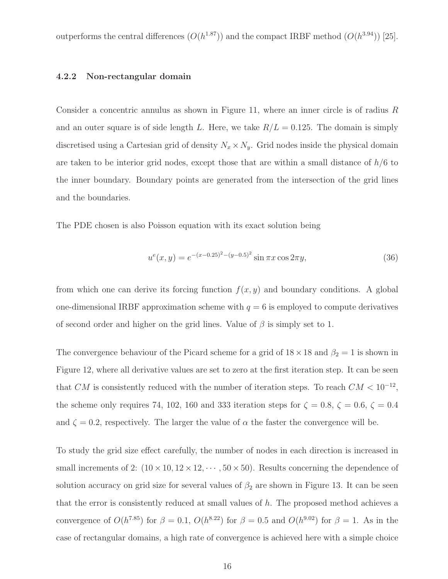outperforms the central differences  $(O(h^{1.87}))$  and the compact IRBF method  $(O(h^{3.94}))$  [25].

#### 4.2.2 Non-rectangular domain

Consider a concentric annulus as shown in Figure 11, where an inner circle is of radius R and an outer square is of side length L. Here, we take  $R/L = 0.125$ . The domain is simply discretised using a Cartesian grid of density  $N_x \times N_y$ . Grid nodes inside the physical domain are taken to be interior grid nodes, except those that are within a small distance of  $h/6$  to the inner boundary. Boundary points are generated from the intersection of the grid lines and the boundaries.

The PDE chosen is also Poisson equation with its exact solution being

$$
u^{e}(x, y) = e^{-(x - 0.25)^{2} - (y - 0.5)^{2}} \sin \pi x \cos 2\pi y,
$$
\n(36)

from which one can derive its forcing function  $f(x, y)$  and boundary conditions. A global one-dimensional IRBF approximation scheme with  $q = 6$  is employed to compute derivatives of second order and higher on the grid lines. Value of  $\beta$  is simply set to 1.

The convergence behaviour of the Picard scheme for a grid of  $18 \times 18$  and  $\beta_2 = 1$  is shown in Figure 12, where all derivative values are set to zero at the first iteration step. It can be seen that CM is consistently reduced with the number of iteration steps. To reach  $CM < 10^{-12}$ , the scheme only requires 74, 102, 160 and 333 iteration steps for  $\zeta = 0.8$ ,  $\zeta = 0.6$ ,  $\zeta = 0.4$ and  $\zeta = 0.2$ , respectively. The larger the value of  $\alpha$  the faster the convergence will be.

To study the grid size effect carefully, the number of nodes in each direction is increased in small increments of 2:  $(10 \times 10, 12 \times 12, \dots, 50 \times 50)$ . Results concerning the dependence of solution accuracy on grid size for several values of  $\beta_2$  are shown in Figure 13. It can be seen that the error is consistently reduced at small values of  $h$ . The proposed method achieves a convergence of  $O(h^{7.85})$  for  $\beta = 0.1$ ,  $O(h^{8.22})$  for  $\beta = 0.5$  and  $O(h^{9.02})$  for  $\beta = 1$ . As in the case of rectangular domains, a high rate of convergence is achieved here with a simple choice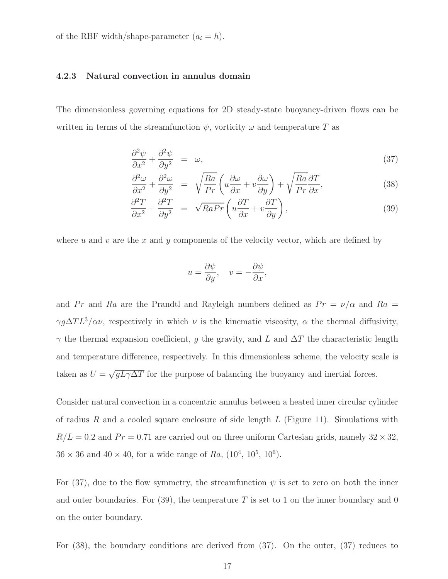of the RBF width/shape-parameter  $(a_i = h)$ .

#### 4.2.3 Natural convection in annulus domain

The dimensionless governing equations for 2D steady-state buoyancy-driven flows can be written in terms of the streamfunction  $\psi$ , vorticity  $\omega$  and temperature T as

$$
\frac{\partial^2 \psi}{\partial x^2} + \frac{\partial^2 \psi}{\partial y^2} = \omega,\tag{37}
$$

$$
\frac{\partial^2 \omega}{\partial x^2} + \frac{\partial^2 \omega}{\partial y^2} = \sqrt{\frac{Ra}{Pr}} \left( u \frac{\partial \omega}{\partial x} + v \frac{\partial \omega}{\partial y} \right) + \sqrt{\frac{Ra}{Pr}} \frac{\partial T}{\partial x},\tag{38}
$$

$$
\frac{\partial^2 T}{\partial x^2} + \frac{\partial^2 T}{\partial y^2} = \sqrt{RaPr} \left( u \frac{\partial T}{\partial x} + v \frac{\partial T}{\partial y} \right),\tag{39}
$$

where u and v are the x and y components of the velocity vector, which are defined by

$$
u = \frac{\partial \psi}{\partial y}, \quad v = -\frac{\partial \psi}{\partial x},
$$

and Pr and Ra are the Prandtl and Rayleigh numbers defined as  $Pr = \nu/\alpha$  and Ra = γg $\Delta TL^3/\alpha \nu$ , respectively in which  $\nu$  is the kinematic viscosity,  $\alpha$  the thermal diffusivity,  $\gamma$  the thermal expansion coefficient, g the gravity, and L and  $\Delta T$  the characteristic length and temperature difference, respectively. In this dimensionless scheme, the velocity scale is taken as  $U = \sqrt{gL\gamma\Delta T}$  for the purpose of balancing the buoyancy and inertial forces.

Consider natural convection in a concentric annulus between a heated inner circular cylinder of radius R and a cooled square enclosure of side length  $L$  (Figure 11). Simulations with  $R/L = 0.2$  and  $Pr = 0.71$  are carried out on three uniform Cartesian grids, namely  $32 \times 32$ ,  $36 \times 36$  and  $40 \times 40$ , for a wide range of  $Ra$ ,  $(10^4, 10^5, 10^6)$ .

For (37), due to the flow symmetry, the streamfunction  $\psi$  is set to zero on both the inner and outer boundaries. For  $(39)$ , the temperature T is set to 1 on the inner boundary and 0 on the outer boundary.

For (38), the boundary conditions are derived from (37). On the outer, (37) reduces to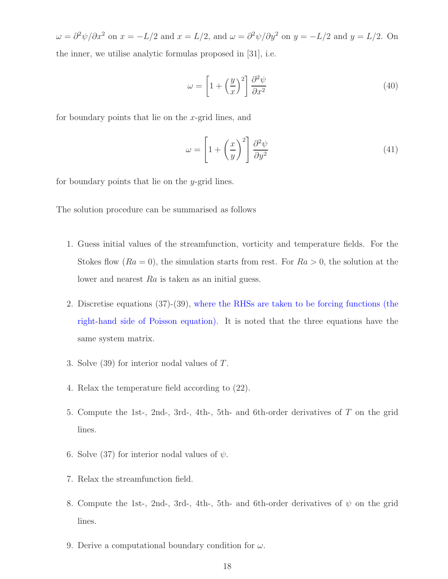$\omega = \frac{\partial^2 \psi}{\partial x^2}$  on  $x = -\frac{L}{2}$  and  $x = \frac{L}{2}$ , and  $\omega = \frac{\partial^2 \psi}{\partial y^2}$  on  $y = -\frac{L}{2}$  and  $y = \frac{L}{2}$ . On the inner, we utilise analytic formulas proposed in [31], i.e.

$$
\omega = \left[1 + \left(\frac{y}{x}\right)^2\right] \frac{\partial^2 \psi}{\partial x^2} \tag{40}
$$

for boundary points that lie on the x-grid lines, and

$$
\omega = \left[1 + \left(\frac{x}{y}\right)^2\right] \frac{\partial^2 \psi}{\partial y^2} \tag{41}
$$

for boundary points that lie on the y-grid lines.

The solution procedure can be summarised as follows

- 1. Guess initial values of the streamfunction, vorticity and temperature fields. For the Stokes flow  $(Ra = 0)$ , the simulation starts from rest. For  $Ra > 0$ , the solution at the lower and nearest Ra is taken as an initial guess.
- 2. Discretise equations (37)-(39), where the RHSs are taken to be forcing functions (the right-hand side of Poisson equation). It is noted that the three equations have the same system matrix.
- 3. Solve (39) for interior nodal values of T.
- 4. Relax the temperature field according to (22).
- 5. Compute the 1st-, 2nd-, 3rd-, 4th-, 5th- and 6th-order derivatives of T on the grid lines.
- 6. Solve (37) for interior nodal values of  $\psi$ .
- 7. Relax the streamfunction field.
- 8. Compute the 1st-, 2nd-, 3rd-, 4th-, 5th- and 6th-order derivatives of  $\psi$  on the grid lines.
- 9. Derive a computational boundary condition for  $\omega$ .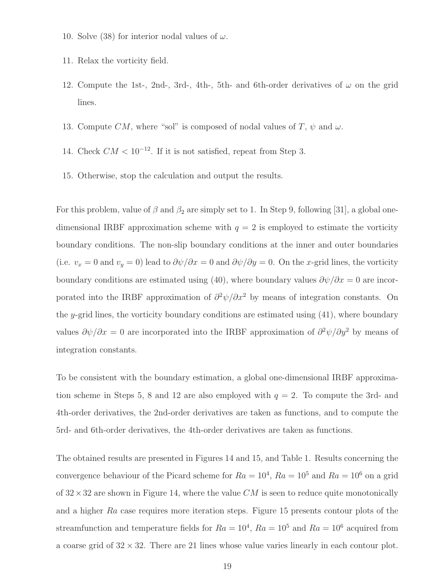- 10. Solve (38) for interior nodal values of  $\omega$ .
- 11. Relax the vorticity field.
- 12. Compute the 1st-, 2nd-, 3rd-, 4th-, 5th- and 6th-order derivatives of  $\omega$  on the grid lines.
- 13. Compute CM, where "sol" is composed of nodal values of T,  $\psi$  and  $\omega$ .
- 14. Check  $CM < 10^{-12}$ . If it is not satisfied, repeat from Step 3.
- 15. Otherwise, stop the calculation and output the results.

For this problem, value of  $\beta$  and  $\beta_2$  are simply set to 1. In Step 9, following [31], a global onedimensional IRBF approximation scheme with  $q = 2$  is employed to estimate the vorticity boundary conditions. The non-slip boundary conditions at the inner and outer boundaries (i.e.  $v_x = 0$  and  $v_y = 0$ ) lead to  $\partial \psi / \partial x = 0$  and  $\partial \psi / \partial y = 0$ . On the x-grid lines, the vorticity boundary conditions are estimated using (40), where boundary values  $\partial \psi / \partial x = 0$  are incorporated into the IRBF approximation of  $\partial^2 \psi / \partial x^2$  by means of integration constants. On the y-grid lines, the vorticity boundary conditions are estimated using  $(41)$ , where boundary values  $\partial \psi / \partial x = 0$  are incorporated into the IRBF approximation of  $\partial^2 \psi / \partial y^2$  by means of integration constants.

To be consistent with the boundary estimation, a global one-dimensional IRBF approximation scheme in Steps 5, 8 and 12 are also employed with  $q = 2$ . To compute the 3rd- and 4th-order derivatives, the 2nd-order derivatives are taken as functions, and to compute the 5rd- and 6th-order derivatives, the 4th-order derivatives are taken as functions.

The obtained results are presented in Figures 14 and 15, and Table 1. Results concerning the convergence behaviour of the Picard scheme for  $Ra = 10^4$ ,  $Ra = 10^5$  and  $Ra = 10^6$  on a grid of  $32 \times 32$  are shown in Figure 14, where the value CM is seen to reduce quite monotonically and a higher Ra case requires more iteration steps. Figure 15 presents contour plots of the streamfunction and temperature fields for  $Ra = 10^4$ ,  $Ra = 10^5$  and  $Ra = 10^6$  acquired from a coarse grid of  $32 \times 32$ . There are 21 lines whose value varies linearly in each contour plot.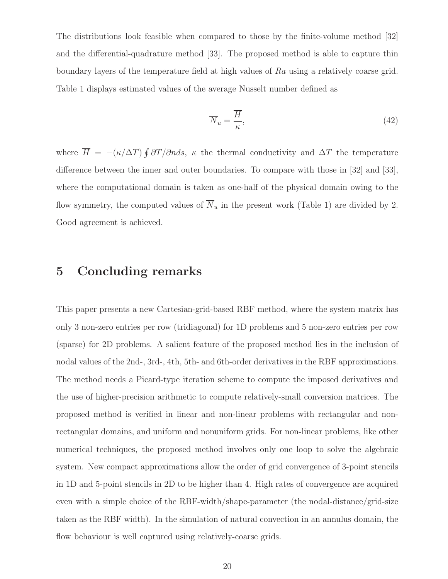The distributions look feasible when compared to those by the finite-volume method [32] and the differential-quadrature method [33]. The proposed method is able to capture thin boundary layers of the temperature field at high values of Ra using a relatively coarse grid. Table 1 displays estimated values of the average Nusselt number defined as

$$
\overline{N}_u = \frac{\overline{H}}{\kappa},\tag{42}
$$

where  $\overline{H} = -(\kappa/\Delta T) \oint \partial T/\partial n ds$ ,  $\kappa$  the thermal conductivity and  $\Delta T$  the temperature difference between the inner and outer boundaries. To compare with those in [32] and [33], where the computational domain is taken as one-half of the physical domain owing to the flow symmetry, the computed values of  $\overline{N}_u$  in the present work (Table 1) are divided by 2. Good agreement is achieved.

### 5 Concluding remarks

This paper presents a new Cartesian-grid-based RBF method, where the system matrix has only 3 non-zero entries per row (tridiagonal) for 1D problems and 5 non-zero entries per row (sparse) for 2D problems. A salient feature of the proposed method lies in the inclusion of nodal values of the 2nd-, 3rd-, 4th, 5th- and 6th-order derivatives in the RBF approximations. The method needs a Picard-type iteration scheme to compute the imposed derivatives and the use of higher-precision arithmetic to compute relatively-small conversion matrices. The proposed method is verified in linear and non-linear problems with rectangular and nonrectangular domains, and uniform and nonuniform grids. For non-linear problems, like other numerical techniques, the proposed method involves only one loop to solve the algebraic system. New compact approximations allow the order of grid convergence of 3-point stencils in 1D and 5-point stencils in 2D to be higher than 4. High rates of convergence are acquired even with a simple choice of the RBF-width/shape-parameter (the nodal-distance/grid-size taken as the RBF width). In the simulation of natural convection in an annulus domain, the flow behaviour is well captured using relatively-coarse grids.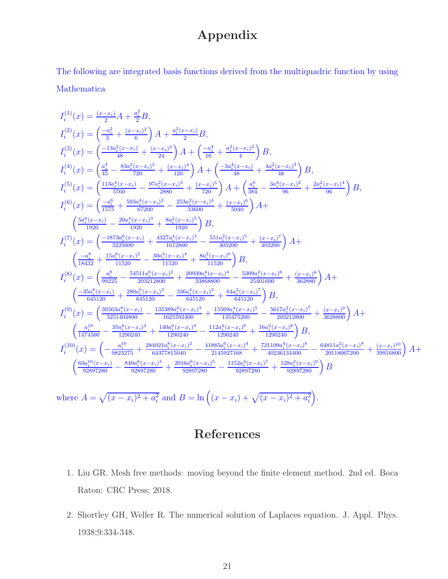# Appendix

The following are integrated basis functions derived from the multiquadric function by using Mathematica

$$
I_{i}^{(1)}(x) = \frac{(x-x_{i})}{3}A + \frac{a_{i}^{2}B}{6},
$$
\n
$$
I_{i}^{(2)}(x) = \left(\frac{-a_{i}^{2}}{3} + \frac{(x-x_{i})^{2}}{6}\right)A + \frac{a_{i}^{2}(x-x_{i})}{2}B,
$$
\n
$$
I_{i}^{(3)}(x) = \left(\frac{-13a_{i}^{2}(x-x_{i})}{48} + \frac{(x-x_{i})^{3}}{24}\right)A + \left(\frac{-a_{i}^{4}}{16} + \frac{a_{i}^{2}(x-x_{i})^{2}}{48}\right)B,
$$
\n
$$
I_{i}^{(4)}(x) = \left(\frac{a_{i}^{4}}{45} - \frac{83a_{i}^{2}(x-x_{i})^{2}}{720} + \frac{(x-x_{i})^{3}}{120}\right)A + \left(\frac{-3a_{i}^{4}(x-x_{i})}{48} + \frac{4a_{i}^{2}(x-x_{i})^{3}}{48}\right)B,
$$
\n
$$
I_{i}^{(5)}(x) = \left(\frac{113a_{i}^{4}(x-x_{i})}{5760} - \frac{97a_{i}^{2}(x-x_{i})^{2}}{2880} + \frac{(x-x_{i})^{5}}{20}\right)A + \left(\frac{a_{i}^{6}}{384} - \frac{3a_{i}^{4}(x-x_{i})^{2}}{96} + \frac{2a_{i}^{2}(x-x_{i})^{4}}{96}\right)B,
$$
\n
$$
I_{i}^{(6)}(x) = \left(\frac{-a_{i}^{6}}{1575} + \frac{593a_{i}^{4}(x-x_{i})^{2}}{67200} - \frac{253a_{i}^{2}(x-x_{i})^{4}}{33600} + \frac{(x-x_{i})^{6}}{36400}\right)A + \left(\frac{5a_{i}^{6}(x-x_{i})}{1920} - \frac{20a_{i}^{4}(x-x_{i})^{2}}{1920} + \frac{4327a_{i}^{4}(x-x_{i})^{4}}{1920}\right)B,
$$
\n
$$
I_{i}^{(7)}(x) = \left(\frac{-1873a_{i}^{6
$$

where 
$$
A = \sqrt{(x - x_i)^2 + a_i^2}
$$
 and  $B = \ln((x - x_i) + \sqrt{(x - x_i)^2 + a_i^2})$ .

# References

- 1. Liu GR. Mesh free methods: moving beyond the finite element method. 2nd ed. Boca Raton: CRC Press; 2018.
- 2. Shortley GH, Weller R. The numerical solution of Laplaces equation. J. Appl. Phys. 1938;9:334-348.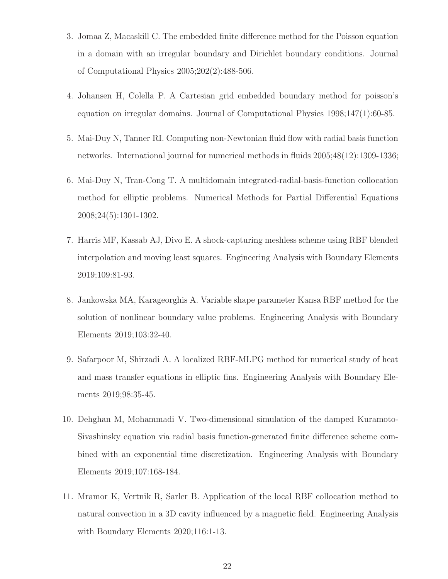- 3. Jomaa Z, Macaskill C. The embedded finite difference method for the Poisson equation in a domain with an irregular boundary and Dirichlet boundary conditions. Journal of Computational Physics 2005;202(2):488-506.
- 4. Johansen H, Colella P. A Cartesian grid embedded boundary method for poisson's equation on irregular domains. Journal of Computational Physics 1998;147(1):60-85.
- 5. Mai-Duy N, Tanner RI. Computing non-Newtonian fluid flow with radial basis function networks. International journal for numerical methods in fluids 2005;48(12):1309-1336;
- 6. Mai-Duy N, Tran-Cong T. A multidomain integrated-radial-basis-function collocation method for elliptic problems. Numerical Methods for Partial Differential Equations 2008;24(5):1301-1302.
- 7. Harris MF, Kassab AJ, Divo E. A shock-capturing meshless scheme using RBF blended interpolation and moving least squares. Engineering Analysis with Boundary Elements 2019;109:81-93.
- 8. Jankowska MA, Karageorghis A. Variable shape parameter Kansa RBF method for the solution of nonlinear boundary value problems. Engineering Analysis with Boundary Elements 2019;103:32-40.
- 9. Safarpoor M, Shirzadi A. A localized RBF-MLPG method for numerical study of heat and mass transfer equations in elliptic fins. Engineering Analysis with Boundary Elements 2019;98:35-45.
- 10. Dehghan M, Mohammadi V. Two-dimensional simulation of the damped Kuramoto-Sivashinsky equation via radial basis function-generated finite difference scheme combined with an exponential time discretization. Engineering Analysis with Boundary Elements 2019;107:168-184.
- 11. Mramor K, Vertnik R, Sarler B. Application of the local RBF collocation method to natural convection in a 3D cavity influenced by a magnetic field. Engineering Analysis with Boundary Elements 2020;116:1-13.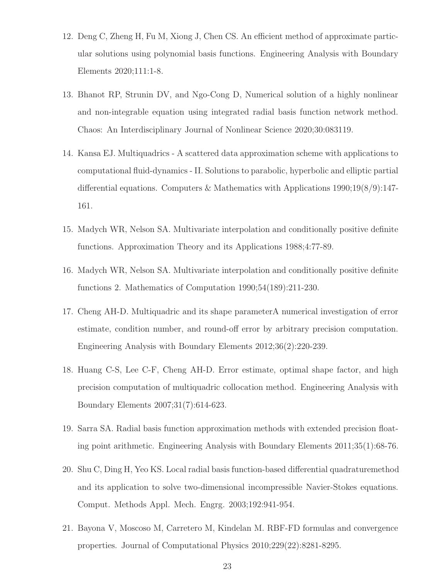- 12. Deng C, Zheng H, Fu M, Xiong J, Chen CS. An efficient method of approximate particular solutions using polynomial basis functions. Engineering Analysis with Boundary Elements 2020;111:1-8.
- 13. Bhanot RP, Strunin DV, and Ngo-Cong D, Numerical solution of a highly nonlinear and non-integrable equation using integrated radial basis function network method. Chaos: An Interdisciplinary Journal of Nonlinear Science 2020;30:083119.
- 14. Kansa EJ. Multiquadrics A scattered data approximation scheme with applications to computational fluid-dynamics - II. Solutions to parabolic, hyperbolic and elliptic partial differential equations. Computers & Mathematics with Applications 1990;19(8/9):147- 161.
- 15. Madych WR, Nelson SA. Multivariate interpolation and conditionally positive definite functions. Approximation Theory and its Applications 1988;4:77-89.
- 16. Madych WR, Nelson SA. Multivariate interpolation and conditionally positive definite functions 2. Mathematics of Computation 1990;54(189):211-230.
- 17. Cheng AH-D. Multiquadric and its shape parameterA numerical investigation of error estimate, condition number, and round-off error by arbitrary precision computation. Engineering Analysis with Boundary Elements 2012;36(2):220-239.
- 18. Huang C-S, Lee C-F, Cheng AH-D. Error estimate, optimal shape factor, and high precision computation of multiquadric collocation method. Engineering Analysis with Boundary Elements 2007;31(7):614-623.
- 19. Sarra SA. Radial basis function approximation methods with extended precision floating point arithmetic. Engineering Analysis with Boundary Elements 2011;35(1):68-76.
- 20. Shu C, Ding H, Yeo KS. Local radial basis function-based differential quadraturemethod and its application to solve two-dimensional incompressible Navier-Stokes equations. Comput. Methods Appl. Mech. Engrg. 2003;192:941-954.
- 21. Bayona V, Moscoso M, Carretero M, Kindelan M. RBF-FD formulas and convergence properties. Journal of Computational Physics 2010;229(22):8281-8295.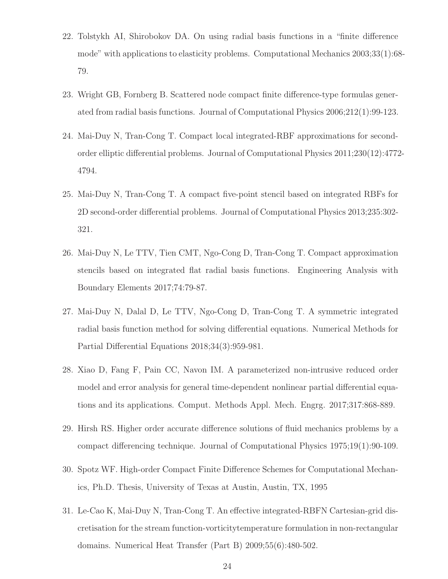- 22. Tolstykh AI, Shirobokov DA. On using radial basis functions in a "finite difference mode" with applications to elasticity problems. Computational Mechanics 2003;33(1):68- 79.
- 23. Wright GB, Fornberg B. Scattered node compact finite difference-type formulas generated from radial basis functions. Journal of Computational Physics 2006;212(1):99-123.
- 24. Mai-Duy N, Tran-Cong T. Compact local integrated-RBF approximations for secondorder elliptic differential problems. Journal of Computational Physics 2011;230(12):4772- 4794.
- 25. Mai-Duy N, Tran-Cong T. A compact five-point stencil based on integrated RBFs for 2D second-order differential problems. Journal of Computational Physics 2013;235:302- 321.
- 26. Mai-Duy N, Le TTV, Tien CMT, Ngo-Cong D, Tran-Cong T. Compact approximation stencils based on integrated flat radial basis functions. Engineering Analysis with Boundary Elements 2017;74:79-87.
- 27. Mai-Duy N, Dalal D, Le TTV, Ngo-Cong D, Tran-Cong T. A symmetric integrated radial basis function method for solving differential equations. Numerical Methods for Partial Differential Equations 2018;34(3):959-981.
- 28. Xiao D, Fang F, Pain CC, Navon IM. A parameterized non-intrusive reduced order model and error analysis for general time-dependent nonlinear partial differential equations and its applications. Comput. Methods Appl. Mech. Engrg. 2017;317:868-889.
- 29. Hirsh RS. Higher order accurate difference solutions of fluid mechanics problems by a compact differencing technique. Journal of Computational Physics 1975;19(1):90-109.
- 30. Spotz WF. High-order Compact Finite Difference Schemes for Computational Mechanics, Ph.D. Thesis, University of Texas at Austin, Austin, TX, 1995
- 31. Le-Cao K, Mai-Duy N, Tran-Cong T. An effective integrated-RBFN Cartesian-grid discretisation for the stream function-vorticitytemperature formulation in non-rectangular domains. Numerical Heat Transfer (Part B) 2009;55(6):480-502.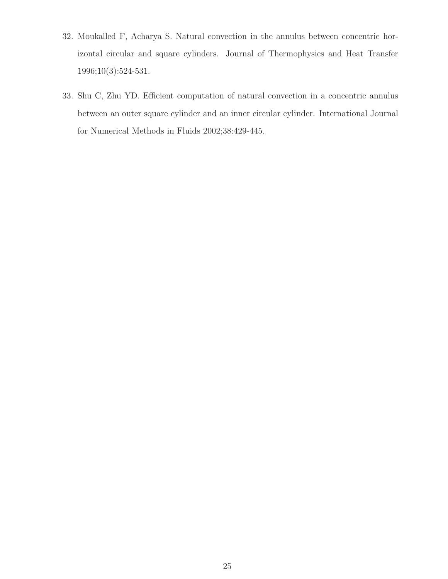- 32. Moukalled F, Acharya S. Natural convection in the annulus between concentric horizontal circular and square cylinders. Journal of Thermophysics and Heat Transfer 1996;10(3):524-531.
- 33. Shu C, Zhu YD. Efficient computation of natural convection in a concentric annulus between an outer square cylinder and an inner circular cylinder. International Journal for Numerical Methods in Fluids 2002;38:429-445.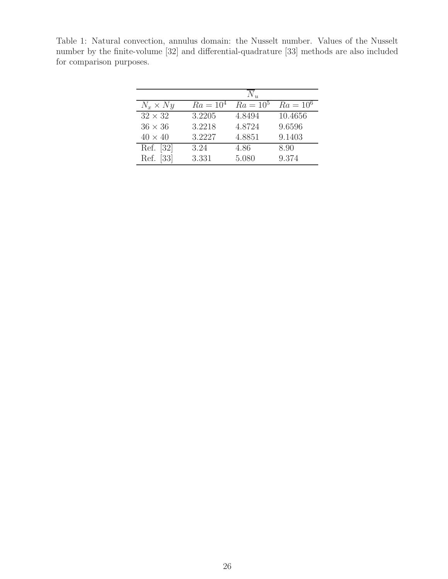Table 1: Natural convection, annulus domain: the Nusselt number. Values of the Nusselt number by the finite-volume [32] and differential-quadrature [33] methods are also included for comparison purposes.

|                           |             | $N_{\mathcal{H}}$ |             |
|---------------------------|-------------|-------------------|-------------|
| $N_x \times Ny$           | $Ra = 10^4$ | $Ra = 10^5$       | $Ra = 10^6$ |
| $32 \times 32$            | 3.2205      | 4.8494            | 10.4656     |
| $36 \times 36$            | 3.2218      | 4.8724            | 9.6596      |
| $40 \times 40$            | 3.2227      | 4.8851            | 9.1403      |
| Ref. [32]                 | 3.24        | 4.86              | 8.90        |
| $\left[33\right]$<br>Ref. | 3.331       | 5.080             | 9.374       |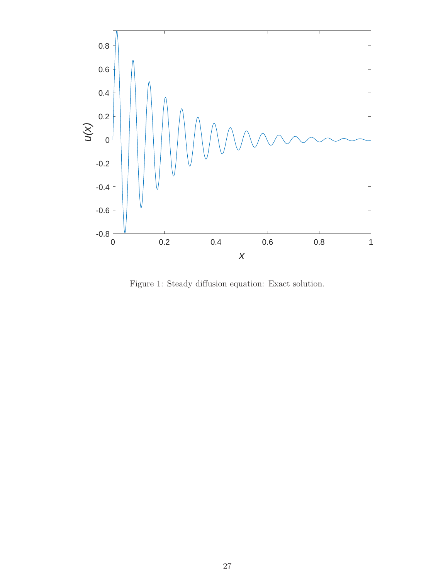

Figure 1: Steady diffusion equation: Exact solution.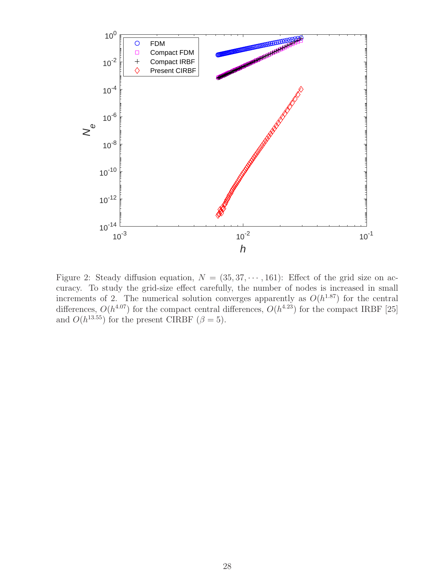

Figure 2: Steady diffusion equation,  $N = (35, 37, \dots, 161)$ : Effect of the grid size on accuracy. To study the grid-size effect carefully, the number of nodes is increased in small increments of 2. The numerical solution converges apparently as  $O(h^{1.87})$  for the central differences,  $O(h^{4.07})$  for the compact central differences,  $O(h^{4.23})$  for the compact IRBF [25] and  $O(h^{13.55})$  for the present CIRBF  $(\beta = 5)$ .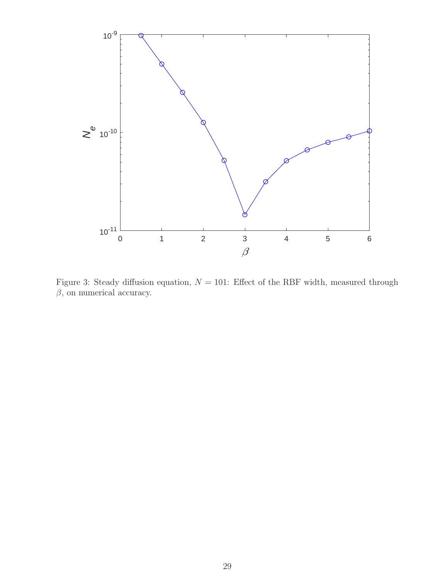

Figure 3: Steady diffusion equation,  $N = 101$ : Effect of the RBF width, measured through  $\beta$ , on numerical accuracy.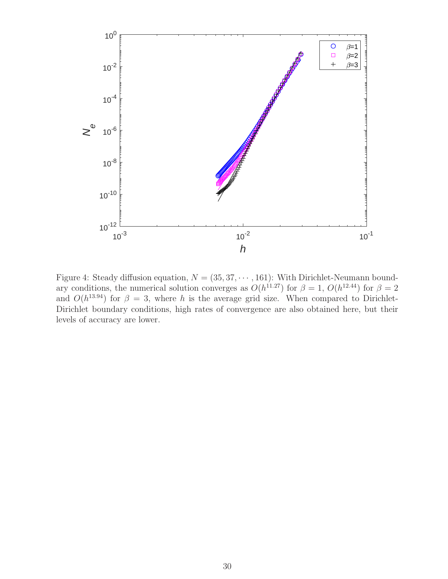

Figure 4: Steady diffusion equation,  $N = (35, 37, \dots, 161)$ : With Dirichlet-Neumann boundary conditions, the numerical solution converges as  $O(h^{11.27})$  for  $\beta = 1$ ,  $O(h^{12.44})$  for  $\beta = 2$ and  $O(h^{13.94})$  for  $\beta = 3$ , where h is the average grid size. When compared to Dirichlet-Dirichlet boundary conditions, high rates of convergence are also obtained here, but their levels of accuracy are lower.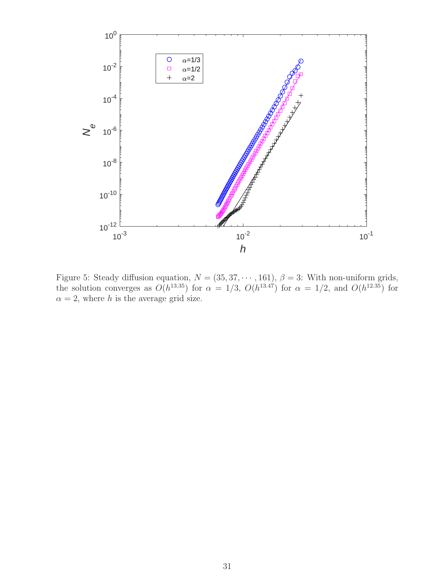

Figure 5: Steady diffusion equation,  $N = (35, 37, \dots, 161)$ ,  $\beta = 3$ : With non-uniform grids, the solution converges as  $O(h^{13.35})$  for  $\alpha = 1/3$ ,  $O(h^{13.47})$  for  $\alpha = 1/2$ , and  $O(h^{12.35})$  for  $\alpha = 2$ , where h is the average grid size.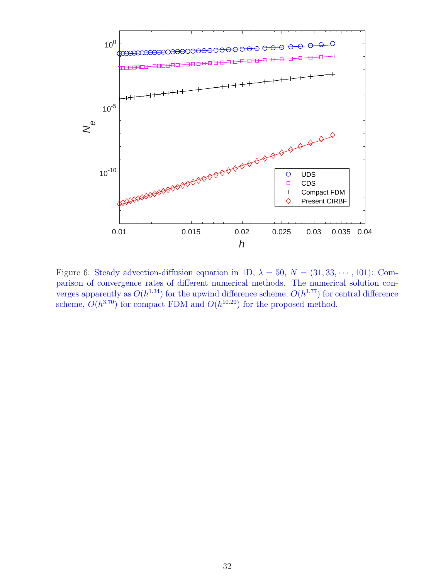

Figure 6: Steady advection-diffusion equation in 1D,  $\lambda = 50$ ,  $N = (31, 33, \dots, 101)$ : Comparison of convergence rates of different numerical methods. The numerical solution converges apparently as  $O(h^{1.34})$  for the upwind difference scheme,  $O(h^{1.77})$  for central difference scheme,  $O(h^{3.70})$  for compact FDM and  $O(h^{10.20})$  for the proposed method.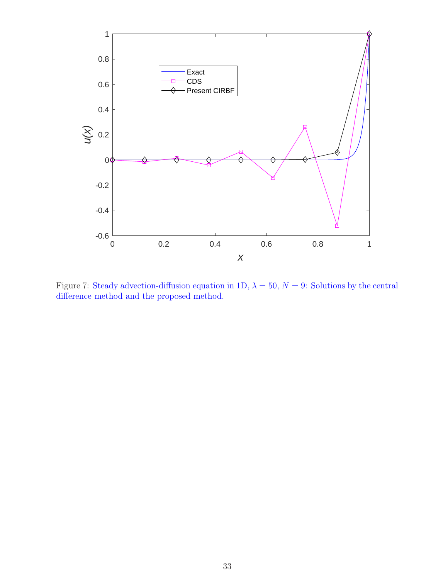

Figure 7: Steady advection-diffusion equation in 1D,  $\lambda = 50$ ,  $N = 9$ : Solutions by the central difference method and the proposed method.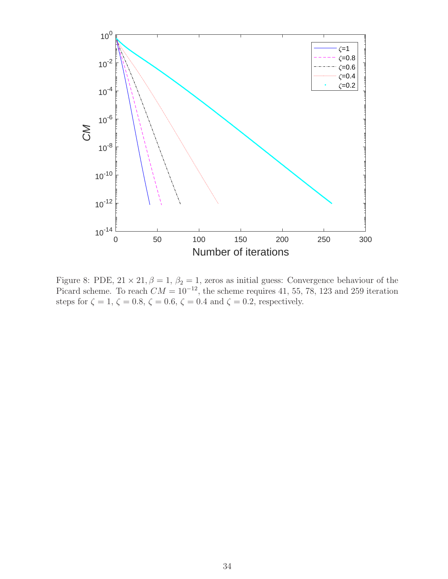

Figure 8: PDE,  $21 \times 21$ ,  $\beta = 1$ ,  $\beta_2 = 1$ , zeros as initial guess: Convergence behaviour of the Picard scheme. To reach  $CM = 10^{-12}$ , the scheme requires 41, 55, 78, 123 and 259 iteration steps for  $\zeta = 1, \, \zeta = 0.8, \, \zeta = 0.6, \, \zeta = 0.4$  and  $\zeta = 0.2$ , respectively.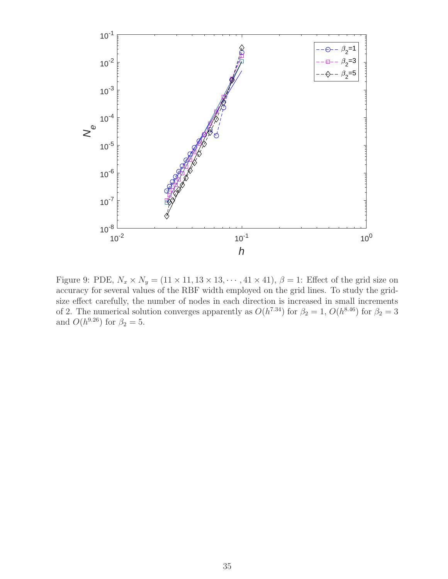

Figure 9: PDE,  $N_x \times N_y = (11 \times 11, 13 \times 13, \dots, 41 \times 41), \beta = 1$ : Effect of the grid size on accuracy for several values of the RBF width employed on the grid lines. To study the gridsize effect carefully, the number of nodes in each direction is increased in small increments of 2. The numerical solution converges apparently as  $O(h^{7.34})$  for  $\beta_2 = 1$ ,  $O(h^{8.46})$  for  $\beta_2 = 3$ and  $O(h^{9.26})$  for  $\beta_2 = 5$ .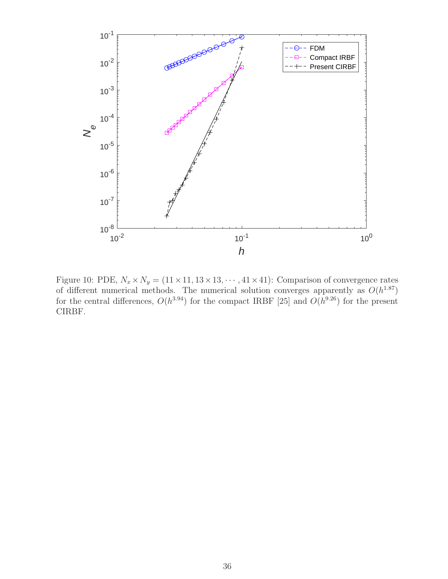

Figure 10: PDE,  $N_x \times N_y = (11 \times 11, 13 \times 13, \dots, 41 \times 41)$ : Comparison of convergence rates of different numerical methods. The numerical solution converges apparently as  $O(h^{1.87})$ for the central differences,  $O(h^{3.94})$  for the compact IRBF [25] and  $O(h^{9.26})$  for the present CIRBF.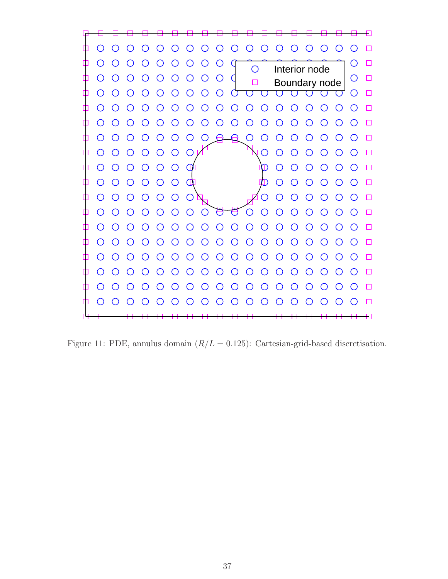

Figure 11: PDE, annulus domain  $(R/L = 0.125)$ : Cartesian-grid-based discretisation.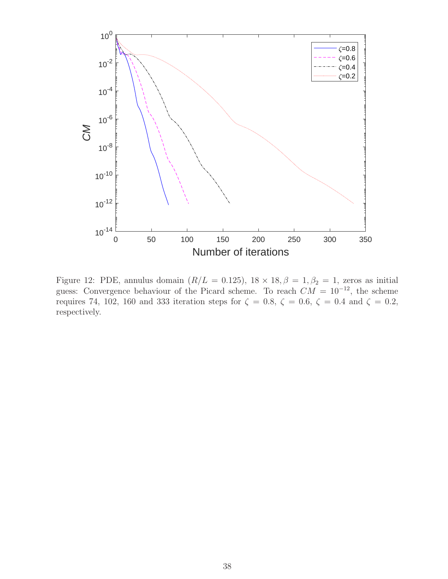

Figure 12: PDE, annulus domain  $(R/L = 0.125)$ ,  $18 \times 18$ ,  $\beta = 1$ ,  $\beta_2 = 1$ , zeros as initial guess: Convergence behaviour of the Picard scheme. To reach  $CM = 10^{-12}$ , the scheme requires 74, 102, 160 and 333 iteration steps for  $\zeta = 0.8$ ,  $\zeta = 0.6$ ,  $\zeta = 0.4$  and  $\zeta = 0.2$ , respectively.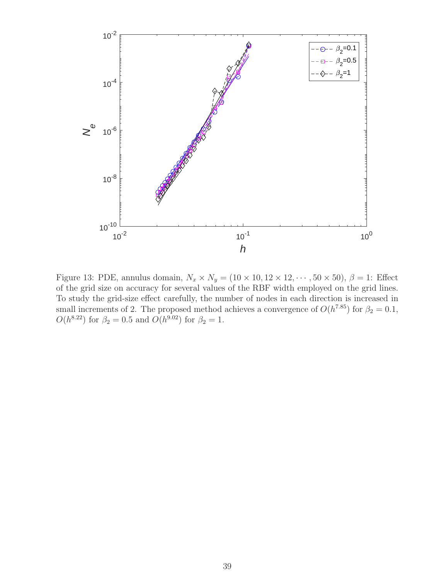

Figure 13: PDE, annulus domain,  $N_x \times N_y = (10 \times 10, 12 \times 12, \dots, 50 \times 50), \beta = 1$ : Effect of the grid size on accuracy for several values of the RBF width employed on the grid lines. To study the grid-size effect carefully, the number of nodes in each direction is increased in small increments of 2. The proposed method achieves a convergence of  $O(h^{7.85})$  for  $\beta_2 = 0.1$ ,  $O(h^{8.22})$  for  $\beta_2 = 0.5$  and  $O(h^{9.02})$  for  $\beta_2 = 1$ .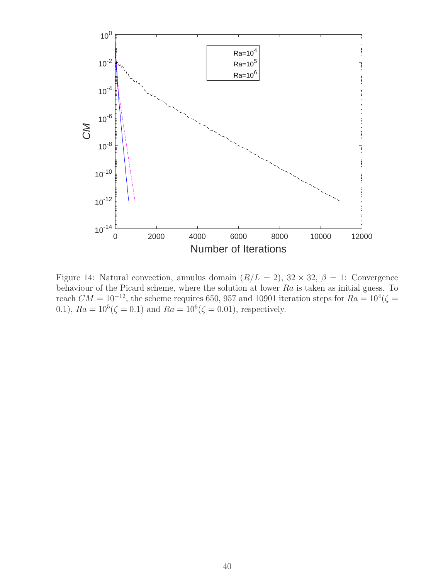

Figure 14: Natural convection, annulus domain  $(R/L = 2)$ ,  $32 \times 32$ ,  $\beta = 1$ : Convergence behaviour of the Picard scheme, where the solution at lower Ra is taken as initial guess. To reach  $CM = 10^{-12}$ , the scheme requires 650, 957 and 10901 iteration steps for  $Ra = 10^4 (\zeta =$ 0.1),  $Ra = 10^5 (\zeta = 0.1)$  and  $Ra = 10^6 (\zeta = 0.01)$ , respectively.